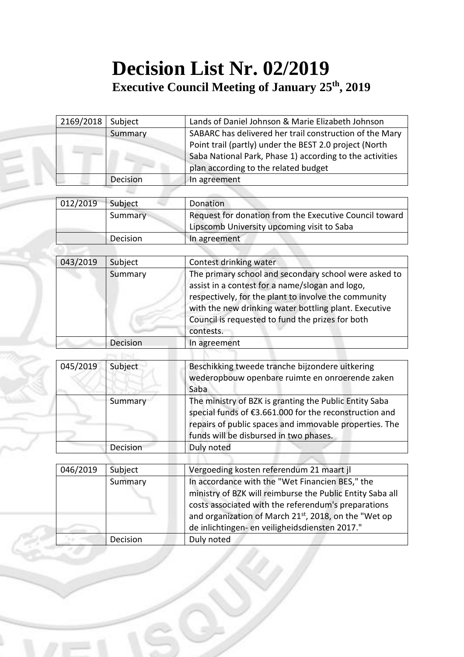## **Decision List Nr. 02/2019 Executive Council Meeting of January 25th, 2019**

| 2169/2018 | Subject  | Lands of Daniel Johnson & Marie Elizabeth Johnson        |
|-----------|----------|----------------------------------------------------------|
|           | Summary  | SABARC has delivered her trail construction of the Mary  |
|           |          | Point trail (partly) under the BEST 2.0 project (North   |
|           |          | Saba National Park, Phase 1) according to the activities |
|           |          | plan according to the related budget                     |
|           | Decision | In agreement                                             |

| 012/2019 | Subject  | Donation                                               |
|----------|----------|--------------------------------------------------------|
|          | Summary  | Request for donation from the Executive Council toward |
|          |          | Lipscomb University upcoming visit to Saba             |
|          | Decision | In agreement                                           |

| 043/2019 | Subject  | Contest drinking water                                                                                                                                                                                                                                                                     |
|----------|----------|--------------------------------------------------------------------------------------------------------------------------------------------------------------------------------------------------------------------------------------------------------------------------------------------|
|          | Summary  | The primary school and secondary school were asked to<br>assist in a contest for a name/slogan and logo,<br>respectively, for the plant to involve the community<br>with the new drinking water bottling plant. Executive<br>Council is requested to fund the prizes for both<br>contests. |
|          | Decision | In agreement                                                                                                                                                                                                                                                                               |

| 045/2019 | Subject  | Beschikking tweede tranche bijzondere uitkering<br>wederopbouw openbare ruimte en onroerende zaken<br>Saba                                                                                                           |
|----------|----------|----------------------------------------------------------------------------------------------------------------------------------------------------------------------------------------------------------------------|
|          | Summary  | The ministry of BZK is granting the Public Entity Saba<br>special funds of €3.661.000 for the reconstruction and<br>repairs of public spaces and immovable properties. The<br>funds will be disbursed in two phases. |
|          | Decision | Duly noted                                                                                                                                                                                                           |

| 046/2019 | Subject  | Vergoeding kosten referendum 21 maart jl                  |
|----------|----------|-----------------------------------------------------------|
|          | Summary  | In accordance with the "Wet Financien BES," the           |
|          |          | ministry of BZK will reimburse the Public Entity Saba all |
|          |          | costs associated with the referendum's preparations       |
|          |          | and organization of March 21st, 2018, on the "Wet op      |
|          |          | de inlichtingen- en veiligheidsdiensten 2017."            |
|          | Decision | Duly noted                                                |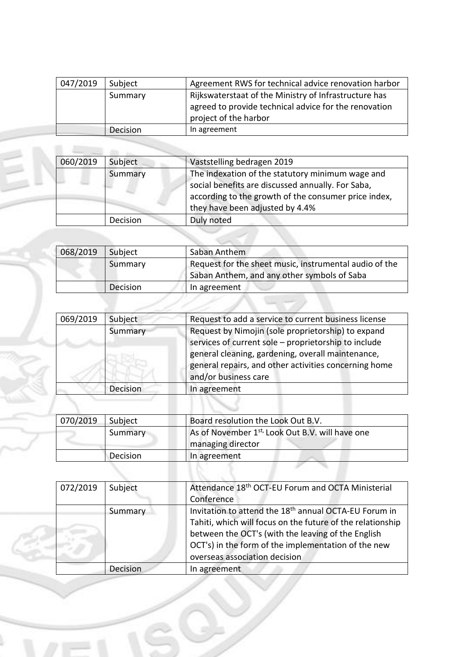| 047/2019 | Subject  | Agreement RWS for technical advice renovation harbor                                                                                    |
|----------|----------|-----------------------------------------------------------------------------------------------------------------------------------------|
|          | Summary  | Rijkswaterstaat of the Ministry of Infrastructure has<br>agreed to provide technical advice for the renovation<br>project of the harbor |
|          | Decision | In agreement                                                                                                                            |

| 060/2019 | Subject  | Vaststelling bedragen 2019                           |
|----------|----------|------------------------------------------------------|
|          | Summary  | The indexation of the statutory minimum wage and     |
|          |          | social benefits are discussed annually. For Saba,    |
|          |          | according to the growth of the consumer price index, |
|          |          | they have been adjusted by 4.4%                      |
|          | Decision | Duly noted                                           |

---

ļ.

| 068/2019 | Subject  | Saban Anthem                                           |
|----------|----------|--------------------------------------------------------|
|          | Summary  | Request for the sheet music, instrumental audio of the |
|          |          | Saban Anthem, and any other symbols of Saba            |
|          | Decision | In agreement                                           |

| 069/2019 | Subject  | Request to add a service to current business license                                                                                                                                                                                             |
|----------|----------|--------------------------------------------------------------------------------------------------------------------------------------------------------------------------------------------------------------------------------------------------|
|          | Summary  | Request by Nimojin (sole proprietorship) to expand<br>services of current sole - proprietorship to include<br>general cleaning, gardening, overall maintenance,<br>general repairs, and other activities concerning home<br>and/or business care |
|          | Decision | In agreement                                                                                                                                                                                                                                     |
|          |          |                                                                                                                                                                                                                                                  |

| 070/2019 | Subject  | Board resolution the Look Out B.V.                          |
|----------|----------|-------------------------------------------------------------|
|          | Summary  | As of November 1 <sup>st,</sup> Look Out B.V. will have one |
|          |          | managing director                                           |
|          | Decision | In agreement                                                |

| 072/2019 | Subject         | Attendance 18 <sup>th</sup> OCT-EU Forum and OCTA Ministerial                                                                   |
|----------|-----------------|---------------------------------------------------------------------------------------------------------------------------------|
|          |                 | Conference                                                                                                                      |
|          | Summary         | Invitation to attend the 18 <sup>th</sup> annual OCTA-EU Forum in<br>Tahiti, which will focus on the future of the relationship |
|          |                 | between the OCT's (with the leaving of the English                                                                              |
|          |                 | OCT's) in the form of the implementation of the new<br>overseas association decision                                            |
|          | <b>Decision</b> | In agreement                                                                                                                    |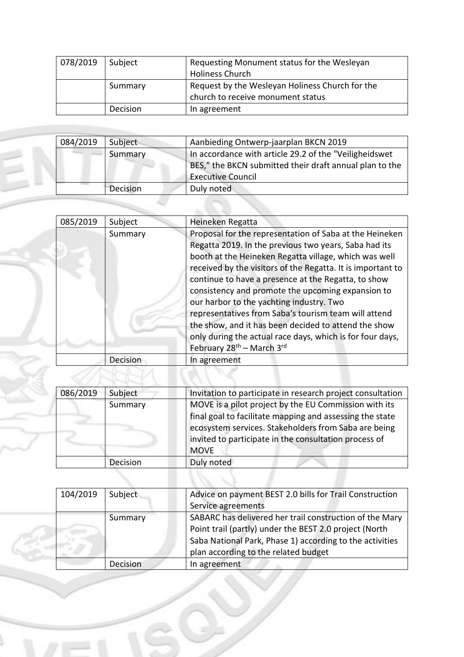| 078/2019 | Subject  | Requesting Monument status for the Wesleyan     |
|----------|----------|-------------------------------------------------|
|          |          | <b>Holiness Church</b>                          |
|          | Summary  | Request by the Wesleyan Holiness Church for the |
|          |          | church to receive monument status               |
|          | Decision | In agreement                                    |

| 084/2019 | Subject  | Aanbieding Ontwerp-jaarplan BKCN 2019                                                                                                          |
|----------|----------|------------------------------------------------------------------------------------------------------------------------------------------------|
|          | Summary  | In accordance with article 29.2 of the "Veiligheidswet"<br>BES," the BKCN submitted their draft annual plan to the<br><b>Executive Council</b> |
|          | Decision | Duly noted                                                                                                                                     |

| 085/2019 | Subject  | Heineken Regatta                                                                                                                                                                                                                                                                                                                                                                                                                                                                                                                                                                                                       |  |
|----------|----------|------------------------------------------------------------------------------------------------------------------------------------------------------------------------------------------------------------------------------------------------------------------------------------------------------------------------------------------------------------------------------------------------------------------------------------------------------------------------------------------------------------------------------------------------------------------------------------------------------------------------|--|
|          | Summary  | Proposal for the representation of Saba at the Heineken<br>Regatta 2019. In the previous two years, Saba had its<br>booth at the Heineken Regatta village, which was well<br>received by the visitors of the Regatta. It is important to<br>continue to have a presence at the Regatta, to show<br>consistency and promote the upcoming expansion to<br>our harbor to the yachting industry. Two<br>representatives from Saba's tourism team will attend<br>the show, and it has been decided to attend the show<br>only during the actual race days, which is for four days,<br>February 28 <sup>th</sup> - March 3rd |  |
|          | Decision | In agreement                                                                                                                                                                                                                                                                                                                                                                                                                                                                                                                                                                                                           |  |

| 086/2019 | Subject  | Invitation to participate in research project consultation                                                                                                                                                                                        |  |
|----------|----------|---------------------------------------------------------------------------------------------------------------------------------------------------------------------------------------------------------------------------------------------------|--|
|          | Summary  | MOVE is a pilot project by the EU Commission with its<br>final goal to facilitate mapping and assessing the state<br>ecosystem services. Stakeholders from Saba are being<br>invited to participate in the consultation process of<br><b>MOVE</b> |  |
|          | Decision | Duly noted                                                                                                                                                                                                                                        |  |

| 104/2019 | Subject         | Advice on payment BEST 2.0 bills for Trail Construction  |  |
|----------|-----------------|----------------------------------------------------------|--|
|          |                 | Service agreements                                       |  |
|          | Summary         | SABARC has delivered her trail construction of the Mary  |  |
|          |                 | Point trail (partly) under the BEST 2.0 project (North   |  |
|          |                 | Saba National Park, Phase 1) according to the activities |  |
|          |                 | plan according to the related budget                     |  |
|          | <b>Decision</b> | In agreement                                             |  |

Í.